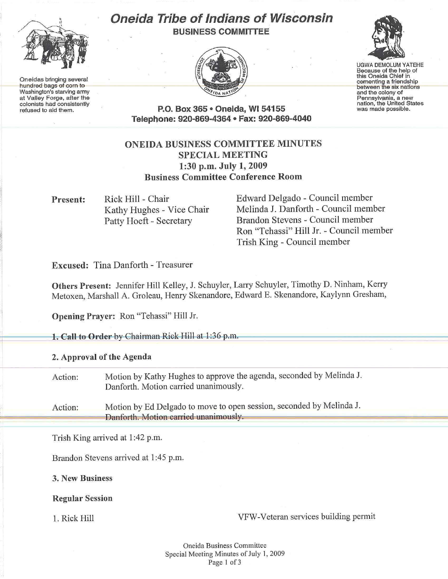

One idas bringing several<br>
Hundred bags of corn to<br>
Mashington's starving army<br> *Mashington's starting army "At Yale army of City of a nation*"<br> *Chief army of City of a nation* and the colonists had consistently<br>
coloni at Valley Forge, after the

1

## Oneida Tribe of Indians of Wisconsin





colorists had consistently<br>refused to ald them. **P.O. Box 365 • Oneida, WI 54155** was made possible. Telephone: 920-869-4364 • Fax: 920-869-4040 colonists had consistently **nation**, the United States of the United States of the United States of the United St<br>The United States of the United States of the United States of the United States of the United States of the

## ONEIDA BUSINESS COMMITTEE MINUTES SPECIAL MEETING 1:30 p.m. July 1,2009 Business Committee Conference Room

Present: Rick Hill - Chair Kathy Hughes - Vice Chair Patty Hoeft - Secretary

Edward Delgado - Council member Melinda J. Danforth - Council member Brandon Stevens - Council member Ron "Tehassi" Hill Jr. - Council member Trish King - Council member

Excused: Tina Danforth - Treasurer

Others Present: Jennifer Hill Kelley, J. Schuyler, Larry Schuyler, Timothy D. Ninham, Kerry Metoxen, Marshall A. Groleau, Henry Skenandore, Edward E. Skenandore, Kaylynn Gresham,

Opening Prayer: Ron "Tehassi" Hill Jr.

1. Call to Order by Chairman Rick Hill at 1:36 p.m.

2. Approval of the Agenda

Action: Motion by Kathy Hughes to approve the agenda, seconded by Melinda J. Danforth. Motion carried unanimously.

Action: Motion by Ed Delgado to move to open session, seconded by Melinda J.<br>
Danforth. Motion carried unanimously.

Trish King arrived at I :42 p.m.

Brandon Stevens arrived at 1:45 p.m.

3. New Business

Regular Session

I. Rick Hill VFW-Veteran services building permit

Oneida Business Committee Special Meeting Minutes of July 1, 2009 Page 1 of 3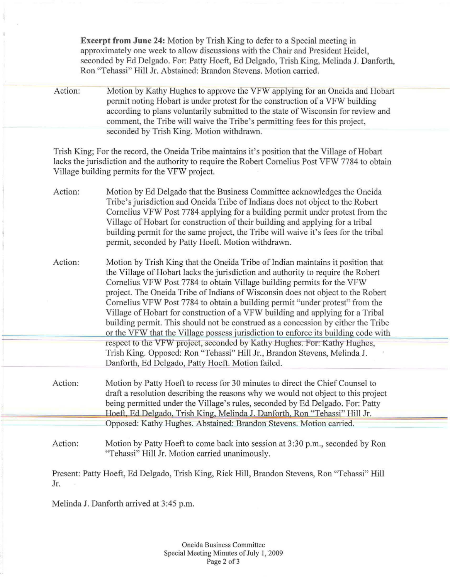Excerpt from June 24: Motion by Trish King to defer to a Special meeting in approximately one week to allow discussions with the Chair and President Heidel, seconded by Ed Delgado. For: Patty Hoeft, Ed Delgado, Trish King, Melinda J. Danforth, Ron "Tehassi" Hill Jr. Abstained: Brandon Stevens. Motion carried.

Action: Motion by Kathy Hughes to approve the VFW applying for an Oneida and Hobart permit noting Hobart is under protest for the construction of a VFW building according to plans voluntarily submitted to the state of Wisconsin for review and comment, the Tribe will waive the Tribe's permitting fees for this project, seconded by Trish King. Motion withdrawn.

Trish King; For the record, the Oneida Tribe maintains it's position that the Village of Hobart lacks the jurisdiction and the authority to require the Robert Cornelius Post VFW 7784 to obtain Village building permits for the VFW project.

- Action: Motion by Ed Delgado that the Business Committee acknowledges the Oneida Tribe's jurisdiction and Oneida Tribe of Indians does not object to the Robert Cornelius VFW Post 7784 applying for a building permit under protest from the Village of Hobart for construction of their building and applying for a tribal building permit for the same project, the Tribe will waive it's fees for the tribal permit, seconded by Patty Hoeft. Motion withdrawn.
- Action: Motion by Trish King that the Oneida Tribe of Indian maintains it position that the Village of Hobart lacks the jurisdiction and authority to require the Robert Cornelius VFW Post 7784 to obtain Village building permits for the VFW project. The Oneida Tribe of Indians of Wisconsin does not object to the Robert Cornelius VFW Post 7784 to obtain a building permit "under protest" from the Village of Hobart for construction of a VFW building and applying for a Tribal building permit. This should not be construed as a concession by either the Tribe or the VFW that the Village possess jurisdiction to enforce its building code with respect to the VFW project, seconded by Kathy Hughes. For: Kathy Hughes, Trish King. Opposed: Ron "Tehassi" Hill Jr., Brandon Stevens, Melinda J. Danforth, Ed Delgado, Patty Hoeft. Motion failed.
- Action: Motion by Patty Hoeft to recess for 30 minutes to direct the Chief Counsel to draft a resolution describing the reasons why we would not object to this project<br>being permitted under the Village's rules, seconded by Ed Delgado. For: Patty<br>Hoeft, Ed Delgado, Trish King, Melinda J. Danforth, Ron "Tehas being permitted under the Village's rules, seconded by Ed Delgado. For: Patty Opposed: Kathy Hughes. Abstained: Brandon Stevens. Motion carried.
	- Action: Motion by Patty Hoeft to come back into session at 3:30 p.m., seconded by Ron "Te hassi" Hill Jr. Motion carried unanimously.

Present: Patty Hoeft, Ed Delgado, Trish King, Rick Hill, Brandon Stevens, Ron "Tehassi" Hill Jr.

Melinda J. Danforth arrived at 3:45 p.m.